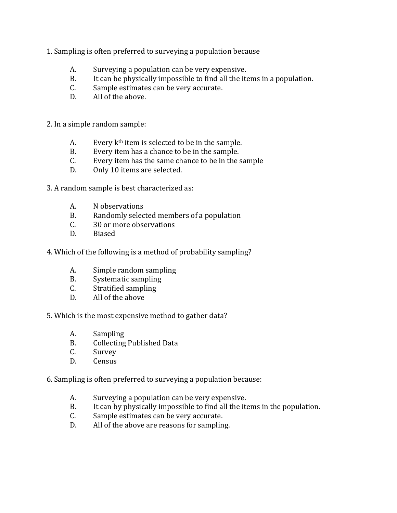- 1. Sampling is often preferred to surveying a population because
	- A. Surveying a population can be very expensive.
	- B. It can be physically impossible to find all the items in a population.
	- C. Sample estimates can be very accurate.
	- D. All of the above.

2. In a simple random sample:

- A. Every  $k<sup>th</sup>$  item is selected to be in the sample.
- B. Every item has a chance to be in the sample.
- C. Every item has the same chance to be in the sample
- D. Only 10 items are selected.

3. A random sample is best characterized as:

- A. N observations
- B. Randomly selected members of a population
- C. 30 or more observations
- D. Biased
- 4. Which of the following is a method of probability sampling?
	- A. Simple random sampling
	- B. Systematic sampling
	- C. Stratified sampling
	- D. All of the above

5. Which is the most expensive method to gather data?

- A. Sampling
- B. Collecting Published Data
- C. Survey
- D. Census

6. Sampling is often preferred to surveying a population because:

- A. Surveying a population can be very expensive.
- B. It can by physically impossible to find all the items in the population.
- C. Sample estimates can be very accurate.
- D. All of the above are reasons for sampling.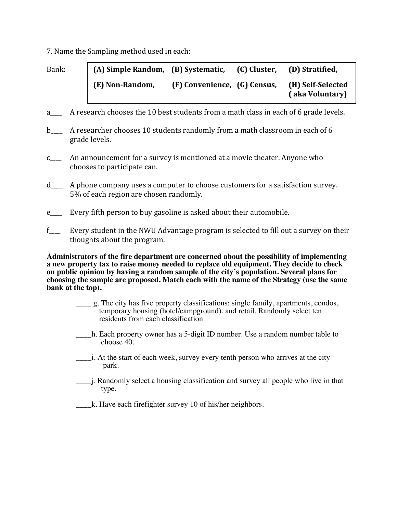7. Name the Sampling method used in each:

| Bank: | (A) Simple Random, (B) Systematic, |                              | (C) Cluster, | (D) Stratified,                      |  |
|-------|------------------------------------|------------------------------|--------------|--------------------------------------|--|
|       | (E) Non-Random,                    | (F) Convenience, (G) Census, |              | (H) Self-Selected<br>(aka Voluntary) |  |

- a A research chooses the 10 best students from a math class in each of 6 grade levels.
- b\_\_\_\_\_ A researcher chooses 10 students randomly from a math classroom in each of 6 grade levels.
- c himannouncement for a survey is mentioned at a movie theater. Anyone who chooses to participate can.
- d\_\_\_\_\_ A phone company uses a computer to choose customers for a satisfaction survey. 5% of each region are chosen randomly.
- e\_\_\_\_\_ Every fifth person to buy gasoline is asked about their automobile.
- f\_\_\_\_ Every student in the NWU Advantage program is selected to fill out a survey on their thoughts about the program.

**Administrators of the fire department are concerned about the possibility of implementing a new property tax to raise money needed to replace old equipment. They decide to check on public opinion by having a random sample of the city's population. Several plans for choosing the sample are proposed. Match each with the name of the Strategy (use the same bank at the top).** 

- \_\_\_\_ g. The city has five property classifications: single family, apartments, condos, temporary housing (hotel/campground), and retail. Randomly select ten residents from each classification
- \_\_\_\_h. Each property owner has a 5-digit ID number. Use a random number table to choose 40.
- \_\_\_\_i. At the start of each week, survey every tenth person who arrives at the city park.
- \_\_\_\_j. Randomly select a housing classification and survey all people who live in that type.
- k. Have each firefighter survey 10 of his/her neighbors.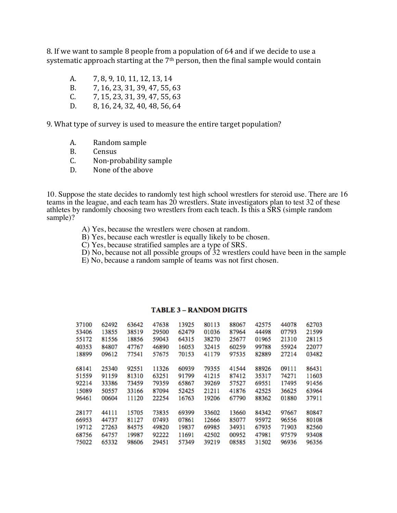8. If we want to sample 8 people from a population of 64 and if we decide to use a systematic approach starting at the  $7<sup>th</sup>$  person, then the final sample would contain

- A.  $7, 8, 9, 10, 11, 12, 13, 14$
- B. 7, 16, 23, 31, 39, 47, 55, 63
- $C.$  7, 15, 23, 31, 39, 47, 55, 63
- D. 8, 16, 24, 32, 40, 48, 56, 64

9. What type of survey is used to measure the entire target population?

- A. Random sample
- B. Census
- C. Non-probability sample
- D. None of the above

10. Suppose the state decides to randomly test high school wrestlers for steroid use. There are 16 teams in the league, and each team has 20 wrestlers. State investigators plan to test 32 of these athletes by randomly choosing two wrestlers from each teach. Is this a SRS (simple random sample)?

- A) Yes, because the wrestlers were chosen at random.
- B) Yes, because each wrestler is equally likely to be chosen.
- C) Yes, because stratified samples are a type of SRS.
- D) No, because not all possible groups of  $32$  wrestlers could have been in the sample
- E) No, because a random sample of teams was not first chosen.

| 37100 | 62492 | 63642 | 47638 | 13925 | 80113 | 88067 | 42575 | 44078 | 62703 |
|-------|-------|-------|-------|-------|-------|-------|-------|-------|-------|
| 53406 | 13855 | 38519 | 29500 | 62479 | 01036 | 87964 | 44498 | 07793 | 21599 |
| 55172 | 81556 | 18856 | 59043 | 64315 | 38270 | 25677 | 01965 | 21310 | 28115 |
| 40353 | 84807 | 47767 | 46890 | 16053 | 32415 | 60259 | 99788 | 55924 | 22077 |
| 18899 | 09612 | 77541 | 57675 | 70153 | 41179 | 97535 | 82889 | 27214 | 03482 |
| 68141 | 25340 | 92551 | 11326 | 60939 | 79355 | 41544 | 88926 | 09111 | 86431 |
| 51559 | 91159 | 81310 | 63251 | 91799 | 41215 | 87412 | 35317 | 74271 | 11603 |
| 92214 | 33386 | 73459 | 79359 | 65867 | 39269 | 57527 | 69551 | 17495 | 91456 |
|       |       |       |       |       |       |       |       |       |       |
| 15089 | 50557 | 33166 | 87094 | 52425 | 21211 | 41876 | 42525 | 36625 | 63964 |
| 96461 | 00604 | 11120 | 22254 | 16763 | 19206 | 67790 | 88362 | 01880 | 37911 |
| 28177 | 44111 | 15705 | 73835 | 69399 | 33602 | 13660 | 84342 | 97667 | 80847 |
| 66953 | 44737 | 81127 | 07493 | 07861 | 12666 | 85077 | 95972 | 96556 | 80108 |
| 19712 | 27263 | 84575 | 49820 | 19837 | 69985 | 34931 | 67935 | 71903 | 82560 |
| 68756 | 64757 | 19987 | 92222 | 11691 | 42502 | 00952 | 47981 | 97579 | 93408 |
| 75022 | 65332 | 98606 | 29451 | 57349 | 39219 | 08585 | 31502 | 96936 | 96356 |

## **TABLE 3 - RANDOM DIGITS**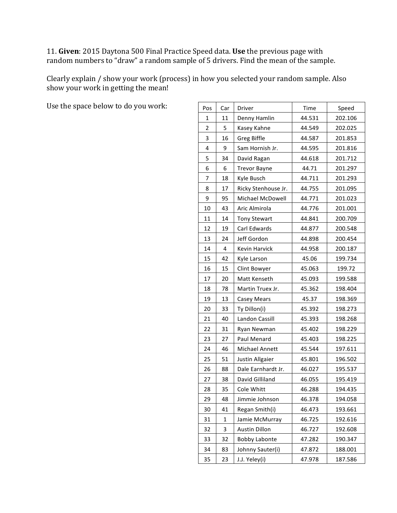11. Given: 2015 Daytona 500 Final Practice Speed data. Use the previous page with random numbers to "draw" a random sample of 5 drivers. Find the mean of the sample.

Clearly explain / show your work (process) in how you selected your random sample. Also show your work in getting the mean!

Use the space below to do you work:

| Pos            | Car         | Driver               | Time   | Speed   |
|----------------|-------------|----------------------|--------|---------|
| 1              | 11          | Denny Hamlin         | 44.531 | 202.106 |
| $\overline{2}$ | 5           | Kasey Kahne          | 44.549 | 202.025 |
| 3              | 16          | Greg Biffle          | 44.587 | 201.853 |
| 4              | 9           | Sam Hornish Jr.      | 44.595 | 201.816 |
| 5              | 34          | David Ragan          | 44.618 | 201.712 |
| 6              | 6           | <b>Trevor Bayne</b>  | 44.71  | 201.297 |
| 7              | 18          | Kyle Busch           | 44.711 | 201.293 |
| 8              | 17          | Ricky Stenhouse Jr.  | 44.755 | 201.095 |
| 9              | 95          | Michael McDowell     | 44.771 | 201.023 |
| 10             | 43          | Aric Almirola        | 44.776 | 201.001 |
| 11             | 14          | <b>Tony Stewart</b>  | 44.841 | 200.709 |
| 12             | 19          | Carl Edwards         | 44.877 | 200.548 |
| 13             | 24          | Jeff Gordon          | 44.898 | 200.454 |
| 14             | 4           | Kevin Harvick        | 44.958 | 200.187 |
| 15             | 42          | Kyle Larson          | 45.06  | 199.734 |
| 16             | 15          | Clint Bowyer         | 45.063 | 199.72  |
| 17             | 20          | Matt Kenseth         | 45.093 | 199.588 |
| 18             | 78          | Martin Truex Jr.     | 45.362 | 198.404 |
| 19             | 13          | Casey Mears          | 45.37  | 198.369 |
| 20             | 33          | Ty Dillon(i)         | 45.392 | 198.273 |
| 21             | 40          | Landon Cassill       | 45.393 | 198.268 |
| 22             | 31          | Ryan Newman          | 45.402 | 198.229 |
| 23             | 27          | Paul Menard          | 45.403 | 198.225 |
| 24             | 46          | Michael Annett       | 45.544 | 197.611 |
| 25             | 51          | Justin Allgaier      | 45.801 | 196.502 |
| 26             | 88          | Dale Earnhardt Jr.   | 46.027 | 195.537 |
| 27             | 38          | David Gilliland      | 46.055 | 195.419 |
| 28             | 35          | Cole Whitt           | 46.288 | 194.435 |
| 29             | 48          | Jimmie Johnson       | 46.378 | 194.058 |
| 30             | 41          | Regan Smith(i)       | 46.473 | 193.661 |
| 31             | $\mathbf 1$ | Jamie McMurray       | 46.725 | 192.616 |
| 32             | 3           | <b>Austin Dillon</b> | 46.727 | 192.608 |
| 33             | 32          | <b>Bobby Labonte</b> | 47.282 | 190.347 |
| 34             | 83          | Johnny Sauter(i)     | 47.872 | 188.001 |
| 35             | 23          | J.J. Yeley(i)        | 47.978 | 187.586 |